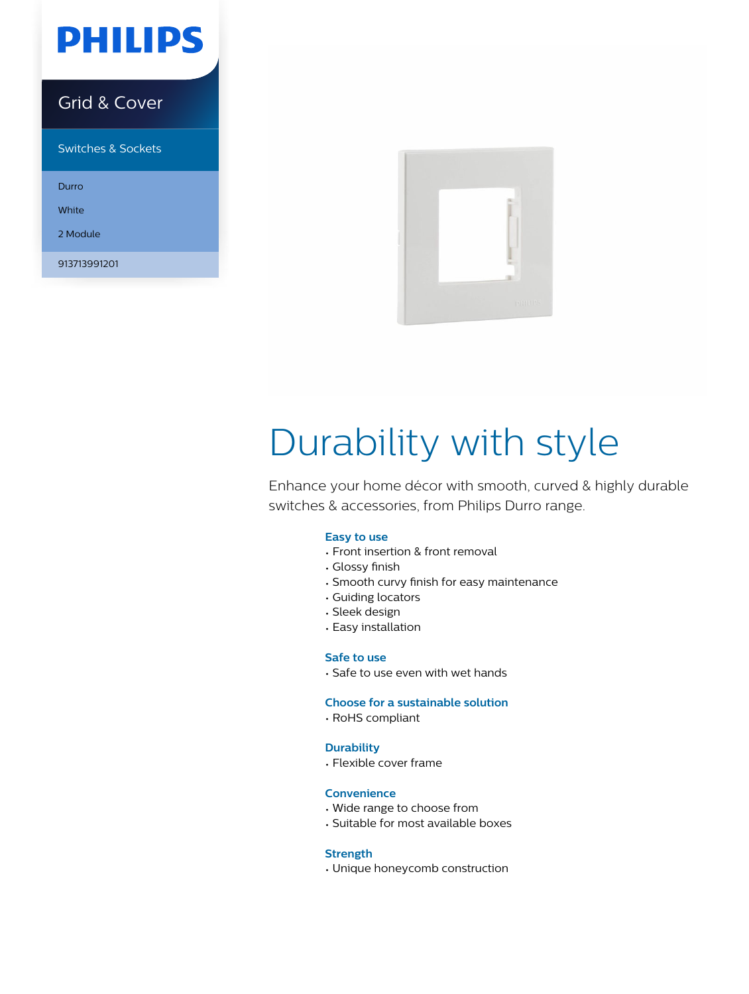

### Grid & Cover

Switches & Sockets

Durro

White

2 Module

913713991201



# Durability with style

Enhance your home décor with smooth, curved & highly durable switches & accessories, from Philips Durro range.

#### **Easy to use**

- Front insertion & front removal
- Glossy finish
- Smooth curvy finish for easy maintenance
- Guiding locators
- Sleek design
- Easy installation

#### **Safe to use**

• Safe to use even with wet hands

#### **Choose for a sustainable solution**

• RoHS compliant

#### **Durability**

• Flexible cover frame

#### **Convenience**

- Wide range to choose from
- Suitable for most available boxes

#### **Strength**

• Unique honeycomb construction